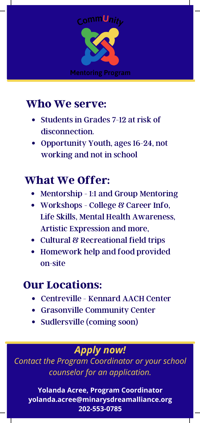

# Who We serve:

- Students in Grades 7-12 at risk of disconnection.
- Opportunity Youth, ages 16-24, not working and not in school

# What We Offer:

- Mentorship 1:1 and Group Mentoring
- Workshops College & Career Info. Life Skills, Mental Health Awareness, Artistic Expression and more,
- Cultural & Recreational field trips
- Homework help and food provided on-site

## Our Locations:

- Centreville Kennard AACH Center
- Grasonville Community Center
- Sudlersville (coming soon)

### *Apply now!*

*Contact the Program Coordinator or your school counselor for an application.*

**Yolanda Acree, Program Coordinator yolanda.acree@minarysdreamalliance.org 202-553-0785**